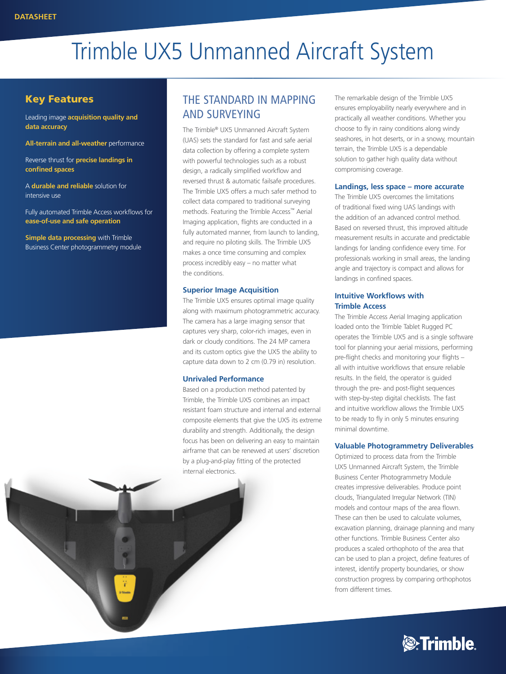# Trimble UX5 Unmanned Aircraft System

#### Key Features

Leading image **acquisition quality and data accuracy**

**All-terrain and all-weather** performance

Reverse thrust for **precise landings in confined spaces**

A **durable and reliable** solution for intensive use

Fully automated Trimble Access workflows for **ease-of-use and safe operation**

**Simple data processing** with Trimble Business Center photogrammetry module

### THE STANDARD IN MAPPING AND SURVEYING

The Trimble® UX5 Unmanned Aircraft System (UAS) sets the standard for fast and safe aerial data collection by offering a complete system with powerful technologies such as a robust design, a radically simplified workflow and reversed thrust & automatic failsafe procedures. The Trimble UX5 offers a much safer method to collect data compared to traditional surveying methods. Featuring the Trimble Access™ Aerial Imaging application, flights are conducted in a fully automated manner, from launch to landing, and require no piloting skills. The Trimble UX5 makes a once time consuming and complex process incredibly easy – no matter what the conditions.

#### **Superior Image Acquisition**

The Trimble UX5 ensures optimal image quality along with maximum photogrammetric accuracy. The camera has a large imaging sensor that captures very sharp, color-rich images, even in dark or cloudy conditions. The 24 MP camera and its custom optics give the UX5 the ability to capture data down to 2 cm (0.79 in) resolution.

#### **Unrivaled Performance**

Based on a production method patented by Trimble, the Trimble UX5 combines an impact resistant foam structure and internal and external composite elements that give the UX5 its extreme durability and strength. Additionally, the design focus has been on delivering an easy to maintain airframe that can be renewed at users' discretion by a plug-and-play fitting of the protected internal electronics.

The remarkable design of the Trimble UX5 ensures employability nearly everywhere and in practically all weather conditions. Whether you choose to fly in rainy conditions along windy seashores, in hot deserts, or in a snowy, mountain terrain, the Trimble UX5 is a dependable solution to gather high quality data without compromising coverage.

#### **Landings, less space – more accurate**

The Trimble UX5 overcomes the limitations of traditional fixed wing UAS landings with the addition of an advanced control method. Based on reversed thrust, this improved altitude measurement results in accurate and predictable landings for landing confidence every time. For professionals working in small areas, the landing angle and trajectory is compact and allows for landings in confined spaces.

#### **Intuitive Workflows with Trimble Access**

The Trimble Access Aerial Imaging application loaded onto the Trimble Tablet Rugged PC operates the Trimble UX5 and is a single software tool for planning your aerial missions, performing pre-flight checks and monitoring your flights – all with intuitive workflows that ensure reliable results. In the field, the operator is guided through the pre- and post-flight sequences with step-by-step digital checklists. The fast and intuitive workflow allows the Trimble UX5 to be ready to fly in only 5 minutes ensuring minimal downtime.

#### **Valuable Photogrammetry Deliverables**

Optimized to process data from the Trimble UX5 Unmanned Aircraft System, the Trimble Business Center Photogrammetry Module creates impressive deliverables. Produce point clouds, Triangulated Irregular Network (TIN) models and contour maps of the area flown. These can then be used to calculate volumes, excavation planning, drainage planning and many other functions. Trimble Business Center also produces a scaled orthophoto of the area that can be used to plan a project, define features of interest, identify property boundaries, or show construction progress by comparing orthophotos from different times.